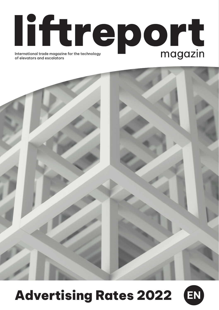

of elevators and escalators



# Advertising Rates 2022

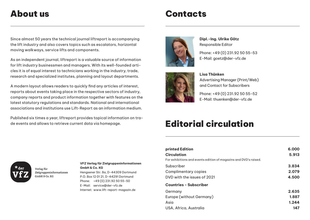### About us **Contacts**

Since almost 50 years the technical journal liftreport is accompanying the lift industry and also covers topics such as escalators, horizontal moving walkways, service lifts and components.

As an independent journal, liftreport is a valuable source of information for lift industry businessmen and managers. With its well-founded articles it is of equal interest to technicians working in the industry, trade, research and specialized institutes, planning and layout departments.

A modern layout allows readers to quickly find any articles of interest, reports about events taking place in the respective sectors of industry, company reports and product information together with features on the latest statutory regulations and standards. National and international associations and institutions use Lift-Report as an information medium.

Published six times a year, liftreport provides topical information on trade events and allows to retrieve current data via homepage.



**Dipl.-Ing. Ulrike Götz**  Responsible Editor

Phone: +49 (0) 231.92 50 55-53 E-Mail: goetz@der-vfz.de



**Lisa Thünken**  Advertising Manager (Print/Web) and Contact for Subscribers

Phone: +49 (0) 231.92 50 55-52 E-Mail: thuenken@der-vfz.de

### Editorial circulation

| printed Edition                                                  | 6.000 |
|------------------------------------------------------------------|-------|
| <b>Circulation</b>                                               | 5.913 |
| For exhibitions and events edition of magazins and DVD's raised. |       |
| Subscriber                                                       | 3.834 |
| Complimentary copies                                             | 2.079 |
| DVD with the issues of 2021                                      | 4.500 |
| <b>Countries - Subscriber</b>                                    |       |
| Germany                                                          | 2.635 |
| Europe (without Germany)                                         | 1.887 |
| Asia                                                             | 1.244 |
| USA, Africa, Australia                                           | 147   |



Verlag für Zielgruppeninformationen GmbH & Co. KG

#### **VFZ Verlag für Zielgruppeninformationen GmbH & Co. KG**

Hengsener Str. 8a, D-44309 Dortmund P.O. Box 12 01 21, D-44291 Dortmund Phone: +49 (0) 231.92 50 55-50 E-Mail: service@der-vfz.de Internet: www.lift-report-magazin.de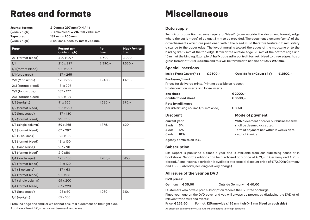## Rates and formats The Miscellaneous

| Journal format: | 210 mm x 297 mm (DIN A4)        |
|-----------------|---------------------------------|
| (wide x high)   | $+3$ mm bleed = 216 mm x 303 mm |
| Type area:      | 187 mm x 265 mm                 |
| (wide x high)   | 3 columns, each 59 mm x 265 mm  |

| Page                | <b>Format mm</b><br>(wide x high) | 4 <sub>c</sub><br>Euro | black/white<br>Euro |
|---------------------|-----------------------------------|------------------------|---------------------|
| 2/1 (format bleed)  | 420 x 297                         | $4.500,-$              | $3.000,-$           |
| 1/1                 | 210 x 297                         | $2.390,-$              | $1.630,-$           |
| 1/1 (format bleed)  | 210 x 297                         |                        |                     |
| 1/1 (type area)     | 187 x 265                         |                        |                     |
| $2/3$ (2 columns)   | 123 x 265                         | $1.940,-$              | $1.175,-$           |
| 2/3 (format bleed)  | 131 x 297                         |                        |                     |
| 2/3 (landscape)     | 187 x 177                         |                        |                     |
| 2/3 (format bleed)  | 210 x 197                         |                        |                     |
| $1/2$ (upright)     | $91 \times 265$                   | $1.630,-$              | $875,-$             |
| 1/2 (format bleed)  | 105 x 297                         |                        |                     |
| 1/2 (landscape)     | 187 x 130                         |                        |                     |
| 1/2 (format bleed)  | 210 x 150                         |                        |                     |
| 1/3 (single column) | 59 x 265                          | $1.375,-$              | $620,-$             |
| 1/3 (format bleed)  | 67 x 297                          |                        |                     |
| $1/3$ (2 columns)   | 123 x 130                         |                        |                     |
| 1/3 (format bleed)  | 131 x 150                         |                        |                     |
| 1/3 (landscape)     | 187 x 90                          |                        |                     |
| 1/3 (format bleed)  | 210 x110                          |                        |                     |
| 1/4 (landscape)     | 123 x 100                         | $1.285,-$              | $515,-$             |
| 1/4 (format bleed)  | 131 x 120                         |                        |                     |
| $1/4$ (3 columns)   | 187 x 63                          |                        |                     |
| 1/4 (format bleed)  | $210 \times 83$                   |                        |                     |
| 1/4 (single column) | 59 x 200                          |                        |                     |
| 1/4 (format bleed)  | 67 x 220                          |                        |                     |
| 1/8 (landscape)     | $123 \times 50$                   | $1.080,-$              | $310,-$             |
| 1/8 (upright)       | 59 x 100                          |                        |                     |

From 1/3 page and smaller we cannot ensure a placement on the right side. Additional fee € 50, – per advertisement and issue. All prices are exclusive of VAT. No VAT will be charged to foreign countries.

### **Data supply**

Technical production reasons require a "bleed" (zone outside the document format, edge where the cut is made) of at least 3 mm to be provided. The document elements (texts) of the advertisements which are positioned within the bleed must therefore feature a 3 mm safety distance to the paper edge. The layout margins toward the edges of the magazine or to the binding are 12 mm at the top edge, 8 mm at the outside edge, 20 mm at the bottom edge and 15 mm at the binding. Example: A **half-page ad in portrait format**, bleed to three edges, has a gross format of **108 x 303 mm** and this will be trimmed to net size of **105 x 297 mm.**

#### **Special insertions**

| Inside Front Cover (4c)                                                                                 | € 2500,- | <b>Outside Rear Cover (4c)</b>             | € 2500.- |
|---------------------------------------------------------------------------------------------------------|----------|--------------------------------------------|----------|
| <b>Enclosure/Insert</b>                                                                                 |          |                                            |          |
| Prices for delivered prints. Printing possible on request.<br>No discount on inserts and loose inserts. |          |                                            |          |
| one sheet                                                                                               |          | € 2000,-                                   |          |
| double folded sheet                                                                                     |          | € 3500,-                                   |          |
| <b>Rate by millimetre</b>                                                                               |          |                                            |          |
| per advertising column (59 mm wide)                                                                     |          | € 3.60                                     |          |
| <b>Discount</b>                                                                                         |          | <b>Mode of payment</b>                     |          |
| current year                                                                                            |          | With placement of order our business terms |          |
| 2 ads<br>3%                                                                                             |          | shall be deemed accepted.                  |          |
| 4 ads<br>5%                                                                                             |          | Term of payment net within 2 weeks on re-  |          |
| 6 ads<br>10%                                                                                            |          | ceipt of invoice.                          |          |

agency commission 15%.

#### **Subscription**

Lift-Report is published 6 times a year and is available from our publishing house or in bookshops. Separate editions can be purchased at a price of € 21,– in Germany and € 25,– abroad. A one-year subscription is available at a special discount price of € 72,90 in Germany and € 99,– abroad (including delivery charge).

#### **All issues of the year on DVD**

#### **DVD prices:**

Germany **€ 35,00** Outside Germany **€ 40,00**

Customers who have a paid subscription receive the DVD free of charge!

Place your logo on the DVD cover and you will always be present by displaying the DVD at all relevant trade fairs and events!

#### Price: **€ 262,50** Format: **125 mm wide x 125 mm high (+ 3 mm Bleed on each side)**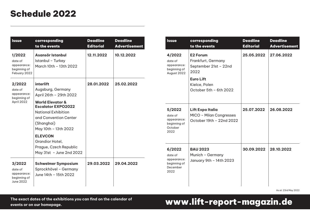### Schedule 2022

| <b>Issue</b>                                                     | corresponding<br>to the events                                                                                                                                                                                                                                                   | <b>Deadline</b><br><b>Editorial</b> | <b>Deadline</b><br><b>Advertisement</b> |
|------------------------------------------------------------------|----------------------------------------------------------------------------------------------------------------------------------------------------------------------------------------------------------------------------------------------------------------------------------|-------------------------------------|-----------------------------------------|
| 1/2022<br>date of<br>appearance:<br>beginning of<br>Febuary 2022 | Asansör Istanbul<br>Istanbul - Turkey<br>March 10th - 13th 2022                                                                                                                                                                                                                  | 12.11.2022                          | 10.12.2022                              |
| 2/2022<br>date of<br>appearance:<br>beginning of<br>April 2022   | interlift<br>Augsburg, Germany<br>April 26th - 29th 2022<br><b>World Elevator &amp;</b><br><b>Escalator EXPO2022</b><br><b>National Exhibition</b><br>and Convention Center<br>(Shanghai)<br>May 10th - 13th 2022<br><b>ELEVCON</b><br>Grandior Hotel,<br>Prague, Czech Republic | 28.01.2022                          | 25.02.2022                              |
|                                                                  | May 31st - June 2nd 2022                                                                                                                                                                                                                                                         |                                     |                                         |
| 3/2022<br>date of<br>appearance:<br>beginning of<br>June 2022    | <b>Schwelmer Symposium</b><br>Sprockhövel - Germany<br>June 14th - 15th 2022                                                                                                                                                                                                     | 29.03.2022                          | 29.04.2022                              |

| <b>Issue</b>                                                         | corresponding<br>to the events                                                                                                        | <b>Deadline</b><br><b>Editorial</b> | <b>Deadline</b><br><b>Advertisement</b> |
|----------------------------------------------------------------------|---------------------------------------------------------------------------------------------------------------------------------------|-------------------------------------|-----------------------------------------|
| 4/2022<br>date of<br>appearance:<br>beginning of<br>August 2022      | <b>E2 Forum</b><br>Frankfurt, Germany<br>September 21st - 22nd<br>2022<br><b>Euro Lift</b><br>Kielce, Polen<br>October 5th - 6th 2022 | 25.05.2022                          | 27.06.2022                              |
| 5/2022<br>date of<br>appearance:<br>beginning of<br>October<br>2022  | <b>Lift Expoltalia</b><br>MICO - Milan Congresses<br>October 19th - 22nd 2022                                                         | 25.07.2022                          | 26.08.2022                              |
| 6/2022<br>date of<br>appearance:<br>beginning of<br>December<br>2022 | <b>BAU 2023</b><br>Munich - Germany<br>January 9th - 14th 2023                                                                        | 30.09.2022                          | 28.10.2022                              |

As at: 23rd May 2022

**The exact dates of the exhibitions you can find on the calendar of** 

## The exact dates of the exhibitions you can find on the calendar of **www.lift-report-magazin.de**